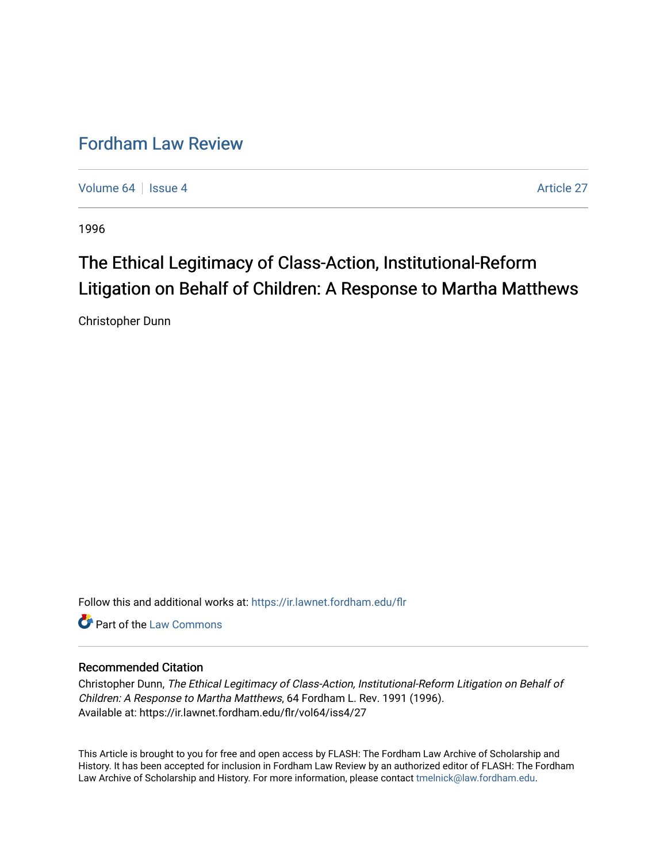# [Fordham Law Review](https://ir.lawnet.fordham.edu/flr)

[Volume 64](https://ir.lawnet.fordham.edu/flr/vol64) | [Issue 4](https://ir.lawnet.fordham.edu/flr/vol64/iss4) Article 27

1996

# The Ethical Legitimacy of Class-Action, Institutional-Reform Litigation on Behalf of Children: A Response to Martha Matthews

Christopher Dunn

Follow this and additional works at: [https://ir.lawnet.fordham.edu/flr](https://ir.lawnet.fordham.edu/flr?utm_source=ir.lawnet.fordham.edu%2Fflr%2Fvol64%2Fiss4%2F27&utm_medium=PDF&utm_campaign=PDFCoverPages)

**C** Part of the [Law Commons](http://network.bepress.com/hgg/discipline/578?utm_source=ir.lawnet.fordham.edu%2Fflr%2Fvol64%2Fiss4%2F27&utm_medium=PDF&utm_campaign=PDFCoverPages)

## Recommended Citation

Christopher Dunn, The Ethical Legitimacy of Class-Action, Institutional-Reform Litigation on Behalf of Children: A Response to Martha Matthews, 64 Fordham L. Rev. 1991 (1996). Available at: https://ir.lawnet.fordham.edu/flr/vol64/iss4/27

This Article is brought to you for free and open access by FLASH: The Fordham Law Archive of Scholarship and History. It has been accepted for inclusion in Fordham Law Review by an authorized editor of FLASH: The Fordham Law Archive of Scholarship and History. For more information, please contact [tmelnick@law.fordham.edu](mailto:tmelnick@law.fordham.edu).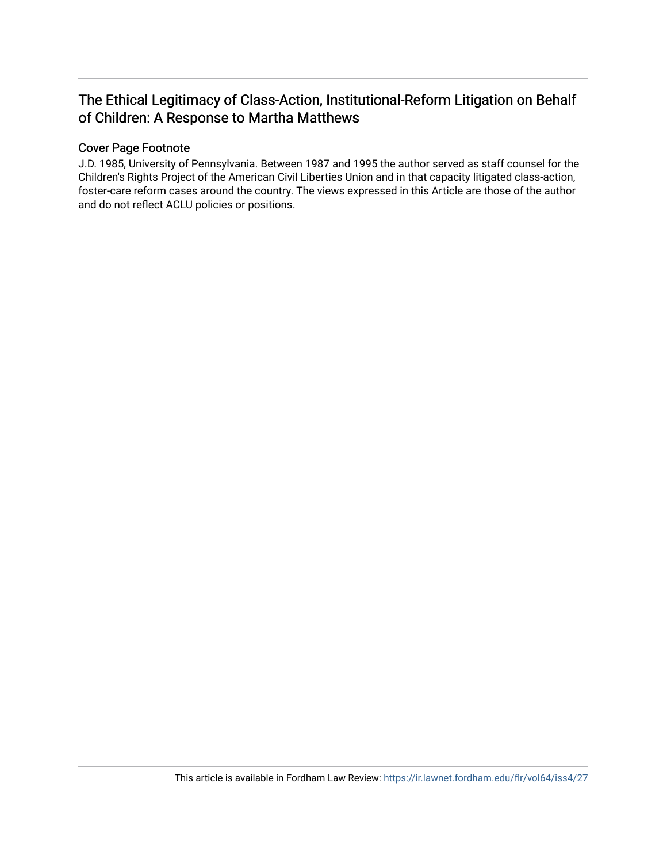# The Ethical Legitimacy of Class-Action, Institutional-Reform Litigation on Behalf of Children: A Response to Martha Matthews

## Cover Page Footnote

J.D. 1985, University of Pennsylvania. Between 1987 and 1995 the author served as staff counsel for the Children's Rights Project of the American Civil Liberties Union and in that capacity litigated class-action, foster-care reform cases around the country. The views expressed in this Article are those of the author and do not reflect ACLU policies or positions.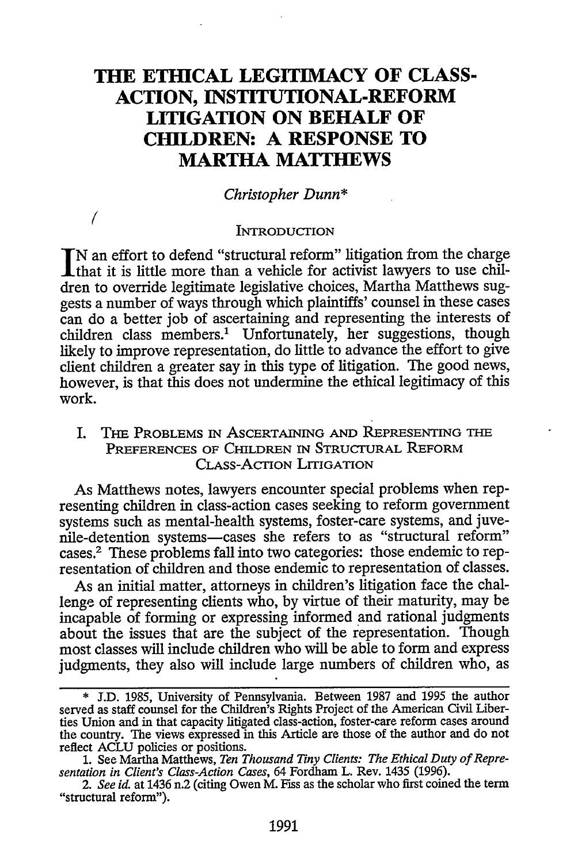# **THE ETHICAL LEGITIMACY OF CLASS-ACTION, INSTITUTIONAL-REFORM LITIGATION ON BEHALF OF CHILDREN: A RESPONSE TO MARTHA MATTHEWS**

#### *Christopher Dunn\**

#### **INTRODUCTION**

**(**

**N** an effort to defend "structural reform" litigation from the charge that it is little more than a vehicle for activist lawyers to use children to override legitimate legislative choices, Martha Matthews suggests a number of ways through which plaintiffs' counsel in these cases can do a better job of ascertaining and representing the interests of children class members.' Unfortunately, her suggestions, though likely to improve representation, do little to advance the effort to give client children a greater say in this type of litigation. The good news, however, is that this does not undermine the ethical legitimacy of this work.

I. Tim PROBLEMS **IN** ASCERTAINING **AND REPRESENTING THE** PREFERENCES OF CHILDREN **IN** STRUCTURAL REFORM CLASS-ACTION LITIGATION

As Matthews notes, lawyers encounter special problems when representing children in class-action cases seeking to reform government systems such as mental-health systems, foster-care systems, and juvenile-detention systems-cases she refers to as "structural reform" cases.2 These problems fall into two categories: those endemic to representation of children and those endemic to representation of classes.

As an initial matter, attorneys in children's litigation face the challenge of representing clients who, by virtue of their maturity, may be incapable of forming or expressing informed and rational judgments about the issues that are the subject of the representation. Though most classes will include children who will be able to form and express judgments, they also will include large numbers of children who, as

<sup>\*</sup> **J.D.** 1985, University of Pennsylvania. Between 1987 and 1995 the author served as staff counsel for the Children's Rights Project of the American Civil Liberties Union and in that capacity litigated class-action, foster-care reform cases around the country. The views expressed in this Article are those of the author and do not reflect ACLU policies or positions.

<sup>1.</sup> See Martha Matthews, *Ten Thousand Tiny Clients: The Ethical Duty of Representation in Client's Class-Action Cases,* 64 Fordham L. Rev. 1435 (1996).

*<sup>2.</sup> See id.* at 1436 n.2 (citing Owen M. Fiss as the scholar who first coined the term "structural reform").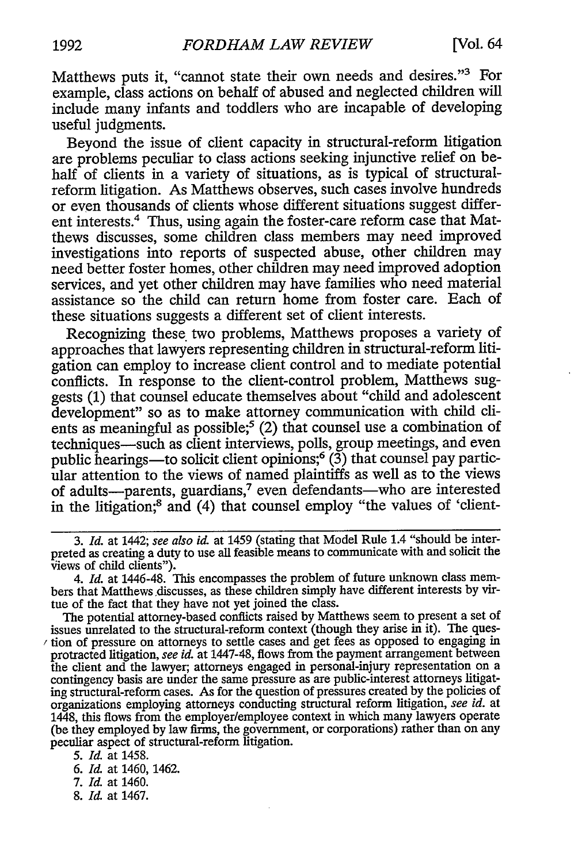Matthews puts it, "cannot state their own needs and desires."<sup>3</sup> For example, class actions on behalf of abused and neglected children will include many infants and toddlers who are incapable of developing useful judgments.

Beyond the issue of client capacity in structural-reform litigation are problems peculiar to class actions seeking injunctive relief on behalf of clients in a variety of situations, as is typical of structuralreform litigation. As Matthews observes, such cases involve hundreds or even thousands of clients whose different situations suggest different interests.4 Thus, using again the foster-care reform case that Matthews discusses, some children class members may need improved investigations into reports of suspected abuse, other children may need better foster homes, other children may need improved adoption services, and yet other children may have families who need material assistance so the child can return home from foster care. Each of these situations suggests a different set of client interests.

Recognizing these two problems, Matthews proposes a variety of approaches that lawyers representing children in structural-reform litigation can employ to increase client control and to mediate potential conflicts. In response to the client-control problem, Matthews suggests (1) that counsel educate themselves about "child and adolescent development" so as to make attorney communication with child clients as meaningful as possible;<sup>5</sup> (2) that counsel use a combination of techniques-such as client interviews, polls, group meetings, and even public hearings—to solicit client opinions; $(3)$  that counsel pay particular attention to the views of named plaintiffs as well as to the views of adults-parents, guardians,<sup>7</sup> even defendants-who are interested in the litigation;8 and (4) that counsel employ "the values of 'client-

- 7. *I&* at 1460.
- 8. *Id.* at 1467.

*<sup>3.</sup> Id.* at 1442; see also *id.* at 1459 (stating that Model Rule 1.4 "should be interpreted as creating a duty to use all feasible means to communicate with and solicit the Views of child clients").

*<sup>4.</sup> Id.* at 1446-48. This encompasses the problem of future unknown class members that Matthews.discusses, as these children simply have different interests by virtue of the fact that they have not yet joined the class.

The potential attorney-based conflicts raised by Matthews seem to present a set of issues unrelated to the structural-reform context (though they arise in it). The ques tion of pressure on attorneys to settle cases and get fees as opposed to engaging in protracted litigation, see *id* at 1447-48, flows from the payment arrangement between the client and the lawyer, attorneys engaged in personal-injury representation on a contingency basis are under the same pressure as are public-interest attorneys litigating structural-reform cases. As for the question of pressures created by the policies of organizations employing attorneys conducting structural reform litigation, see *id.* at 1448, this flows from the employer/employee context in which many lawyers operate (be they employed by law firms, the government, or corporations) rather than on any peculiar aspect of structural-reform litigation.

*<sup>5.</sup> I&* at 1458.

*<sup>6.</sup> Id.* at 1460, 1462.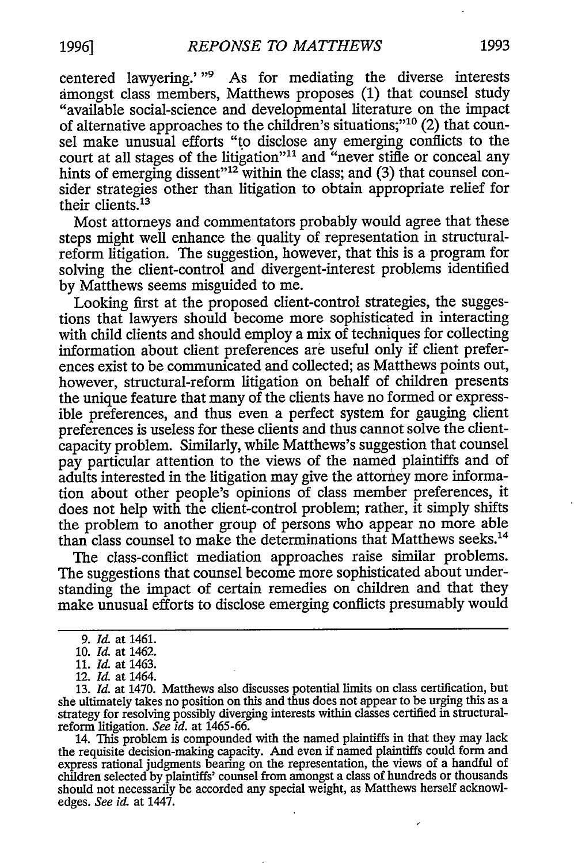centered lawyering.' "<sup>9</sup> As for mediating the diverse interests amongst class members, Matthews proposes (1) that counsel study "available social-science and developmental literature on the impact of alternative approaches to the children's situations;"'10 (2) that counsel make unusual efforts "to disclose any emerging conflicts to the court at all stages of the litigation"<sup>11</sup> and "never stifle or conceal any hints of emerging dissent"<sup>12</sup> within the class; and (3) that counsel consider strategies other than litigation to obtain appropriate relief for their clients. $^{13}$ 

Most attorneys and commentators probably would agree that these steps might well enhance the quality of representation in structuralreform litigation. The suggestion, however, that this is a program for solving the client-control and divergent-interest problems identified by Matthews seems misguided to me.

Looking first at the proposed client-control strategies, the suggestions that lawyers should become more sophisticated in interacting with child clients and should employ a mix of techniques for collecting information about client preferences are useful only if client preferences exist to be communicated and collected; as Matthews points out, however, structural-reform litigation on behalf of children presents the unique feature that many of the clients have no formed or expressible preferences, and thus even a perfect system for gauging client preferences is useless for these clients and thus cannot solve the clientcapacity problem. Similarly, while Matthews's suggestion that counsel pay particular attention to the views of the named plaintiffs and of adults interested in the litigation may give the attorney more information about other people's opinions of class member preferences, it does not help with the client-control problem; rather, it simply shifts the problem to another group of persons who appear no more able than class counsel to make the determinations that Matthews seeks.<sup>14</sup>

The class-conflict mediation approaches raise similar problems. The suggestions that counsel become more sophisticated about understanding the impact of certain remedies on children and that they make unusual efforts to disclose emerging conflicts presumably would

14. This problem is compounded with the named plaintiffs in that they may lack the requisite decision-making capacity. And even if named plaintiffs could form and express rational judgments bearing on the representation, the views of a handful of children selected by plaintiffs' counsel from amongst a class of hundreds or thousands should not necessarily be accorded any special weight, as Matthews herself acknowledges. *See id.* at 1447.

 $\overline{\phantom{a}}$ 

*<sup>9.</sup> Id.* at 1461.

<sup>10.</sup> *Id.* at 1462.

<sup>11.</sup> *Id-* at 1463.

<sup>12.</sup> *Id.* at 1464.

<sup>13.</sup> *Id.* at 1470. Matthews also discusses potential limits on class certification, but she ultimately takes no position on this and thus does not appear to be urging this as a strategy for resolving possibly diverging interests within classes certified in structuralreform litigation. *See id.* at 1465-66.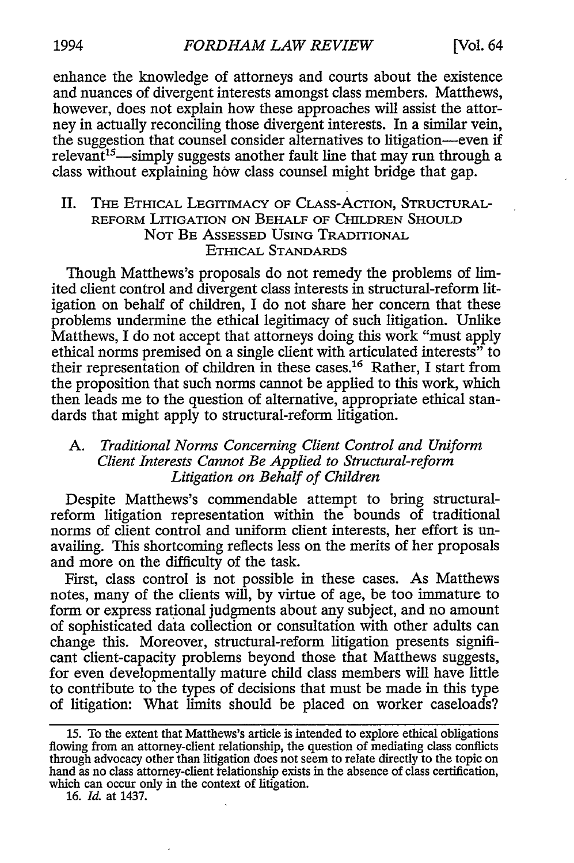enhance the knowledge of attorneys and courts about the existence and nuances of divergent interests amongst class members. Matthews, however, does not explain how these approaches will assist the attorney in actually reconciling those divergent interests. In a similar vein, the suggestion that counsel consider alternatives to litigation—even if relevant<sup>15</sup>—simply suggests another fault line that may run through a class without explaining how class counsel might bridge that gap.

#### II. THE ETHICAL LEGITIMACY OF CLASS-ACTION, STRUCTURAL-REFORM LITIGATION ON BEHALF OF CHILDREN SHOULD NOT BE ASSESSED USING TRADITIONAL ETHICAL STANDARDS

Though Matthews's proposals do not remedy the problems of limited client control and divergent class interests in structural-reform litigation on behalf of children, I do not share her concern that these problems undermine the ethical legitimacy of such litigation. Unlike Matthews, I do not accept that attorneys doing this work "must apply ethical norms premised on a single client with articulated interests" to their representation of children in these cases.<sup>16</sup> Rather, I start from the proposition that such norms cannot be applied to this work, which then leads me to the question of alternative, appropriate ethical standards that might apply to structural-reform litigation.

### *A. Traditional Norms Concerning Client Control and Uniform Client Interests Cannot Be Applied to Structural-reform Litigation on Behalf of Children*

Despite Matthews's commendable attempt to bring structuralreform litigation representation within the bounds of traditional norms of client control and uniform client interests, her effort is unavailing. This shortcoming reflects less on the merits of her proposals and more on the difficulty of the task.

First, class control is not possible in these cases. As Matthews notes, many of the clients will, by virtue of age, be too immature to form or express rational judgments about any subject, and no amount of sophisticated data collection or consultation with other adults can change this. Moreover, structural-reform litigation presents significant client-capacity problems beyond those that Matthews suggests, for even developmentally mature child class members will have little to contribute to the types of decisions that must be made in this type of litigation: What limits should be placed on worker caseloads?

<sup>15.</sup> To the extent that Matthews's article is intended to explore ethical obligations flowing from an attorney-client relationship, the question of mediating class conflicts through advocacy other than litigation does not seem to relate directly to the topic on hand as no class attorney-client telationship exists in the absence of class certification, which can occur only in the context of litigation.

<sup>16.</sup> *Id.* at 1437.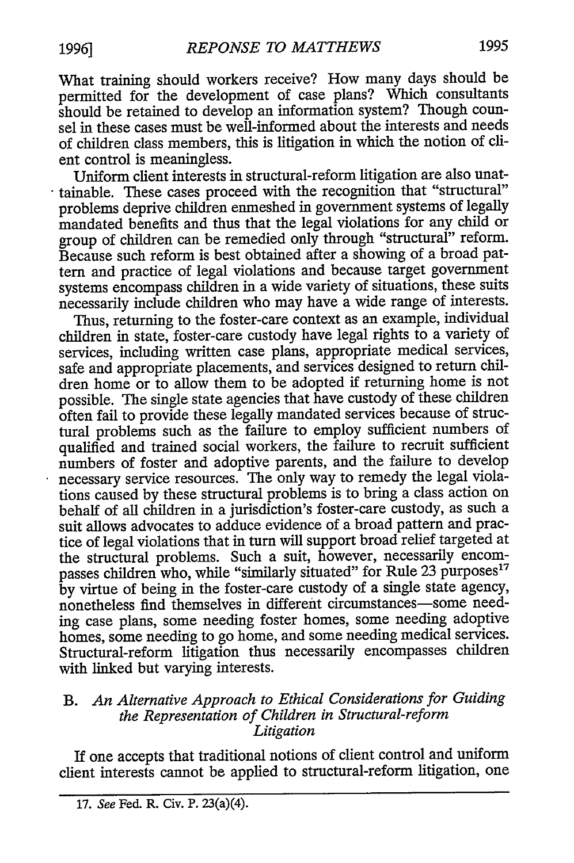What training should workers receive? How many days should be permitted for the development of case plans? Which consultants should be retained to develop an information system? Though counsel in these cases must be well-informed about the interests and needs of children class members, this is litigation in which the notion of client control is meaningless.

Uniform client interests in structural-reform litigation are also unattainable. These cases proceed with the recognition that "structural" problems deprive children enmeshed in government systems of legally mandated benefits and thus that the legal violations for any child or group of children can be remedied only through "structural" reform. Because such reform is best obtained after a showing of a broad pattern and practice of legal violations and because target government systems encompass children in a wide variety of situations, these suits necessarily include children who may have a wide range of interests.

Thus, returning to the foster-care context as an example, individual children in state, foster-care custody have legal rights to a variety of services, including written case plans, appropriate medical services, safe and appropriate placements, and services designed to return children home or to allow them to be adopted if returning home is not possible. The single state agencies that have custody of these children often fail to provide these legally mandated services because of structural problems such as the failure to employ sufficient numbers of qualified and trained social workers, the failure to recruit sufficient numbers of foster and adoptive parents, and the failure to develop necessary service resources. The only way to remedy the legal violations caused by these structural problems is to bring a class action on behalf of all children in a jurisdiction's foster-care custody, as such a suit allows advocates to adduce evidence of a broad pattern and practice of legal violations that in turn will support broad relief targeted at the structural problems. Such a suit, however, necessarily encompasses children who, while "similarly situated" for Rule 23 purposes<sup>17</sup> by virtue of being in the foster-care custody of a single state agency, nonetheless find themselves in different circumstances-some needing case plans, some needing foster homes, some needing adoptive homes, some needing to go home, and some needing medical services. Structural-reform litigation thus necessarily encompasses children with linked but varying interests.

## B. *An Alternative Approach to Ethical Considerations for Guiding the Representation of Children in Structural-reform Litigation*

If one accepts that traditional notions of client control and uniform client interests cannot be applied to structural-reform litigation, one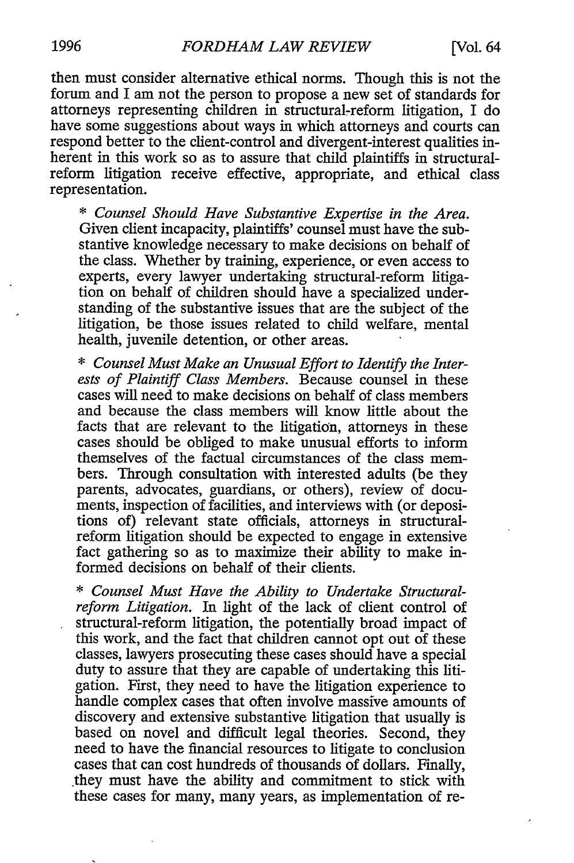then must consider alternative ethical norms. Though this is not the forum and I am not the person to propose a new set of standards for attorneys representing children in structural-reform litigation, I do have some suggestions about ways in which attorneys and courts can respond better to the client-control and divergent-interest qualities inherent in this work so as to assure that child plaintiffs in structuralreform litigation receive effective, appropriate, and ethical class representation.

\* *Counsel Should Have Substantive Expertise in the Area.* Given client incapacity, plaintiffs' counsel must have the substantive knowledge necessary to make decisions on behalf of the class. Whether by training, experience, or even access to experts, every lawyer undertaking structural-reform litigation on behalf of children should have a specialized understanding of the substantive issues that are the subject of the litigation, be those issues related to child welfare, mental health, juvenile detention, or other areas.

\* *Counsel Must Make an Unusual Effort to Identify the Interests of Plaintiff Class Members.* Because counsel in these cases will need to make decisions on behalf of class members and because the class members will know little about the facts that are relevant to the litigation, attorneys in these cases should be obliged to make unusual efforts to inform themselves of the factual circumstances of the class members. Through consultation with interested adults (be they parents, advocates, guardians, or others), review of documents, inspection of facilities, and interviews with (or depositions of) relevant state officials, attorneys in structuralreform litigation should be expected to engage in extensive fact gathering so as to maximize their ability to make informed decisions on behalf of their clients.

\* *Counsel Must Have the Ability to Undertake Structuralreform Litigation.* In light of the lack of client control of structural-reform litigation, the potentially broad impact of this work, and the fact that children cannot opt out of these classes, lawyers prosecuting these cases should have a special duty to assure that they are capable of undertaking this litigation. First, they need to have the litigation experience to handle complex cases that often involve massive amounts of discovery and extensive substantive litigation that usually is based on novel and difficult legal theories. Second, they need to have the financial resources to litigate to conclusion cases that can cost hundreds of thousands of dollars. Finally, they must have the ability and commitment to stick with these cases for many, many years, as implementation of re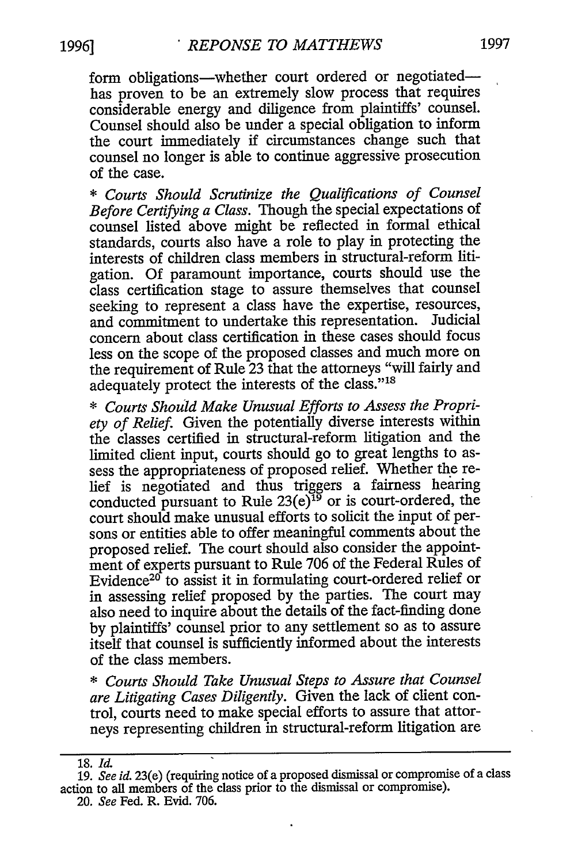form obligations-whether court ordered or negotiatedhas proven to be an extremely slow process that requires considerable energy and diligence from plaintiffs' counsel. Counsel should also be under a special obligation to inform the court immediately if circumstances change such that counsel no longer is able to continue aggressive prosecution of the case.

\* *Courts Should Scrutinize the Qualifications of Counsel Before Certifying a Class.* Though the special expectations of counsel listed above might be reflected in formal ethical standards, courts also have a role to play in protecting the interests of children class members in structural-reform litigation. Of paramount importance, courts should use the class certification stage to assure themselves that counsel seeking to represent a class have the expertise, resources, and commitment to undertake this representation. Judicial concern about class certification in these cases should focus less on the scope of the proposed classes and much more on the requirement of Rule 23 that the attorneys "will fairly and adequately protect the interests of the class."<sup>18</sup>

\* *Courts Should Make Unusual Efforts to Assess the Propriety of Relief.* Given the potentially diverse interests within the classes certified in structural-reform litigation and the limited client input, courts should go to great lengths to assess the appropriateness of proposed relief. Whether the relief is negotiated and thus triggers a fairness hearing conducted pursuant to Rule  $23(e)^{19}$  or is court-ordered, the court should make unusual efforts to solicit the input of persons or entities able to offer meaningful comments about the proposed relief. The court should also consider the appointment of experts pursuant to Rule 706 of the Federal Rules of Evidence<sup>20</sup> to assist it in formulating court-ordered relief or in assessing relief proposed by the parties. The court may also need to inquire about the details of the fact-finding done by plaintiffs' counsel prior to any settlement so as to assure itself that counsel is sufficiently informed about the interests of the class members.

\* *Courts Should Take Unusual Steps to Assure that Counsel are Litigating Cases Diligently.* Given the lack of client control, courts need to make special efforts to assure that attorneys representing children in structural-reform litigation are

<sup>18.</sup> Id.

<sup>19.</sup> *See id.* 23(e) (requiring notice of a proposed dismissal or compromise of a class action to all members of the class prior to the dismissal or compromise). 20. *See* Fed. R. Evid. 706.